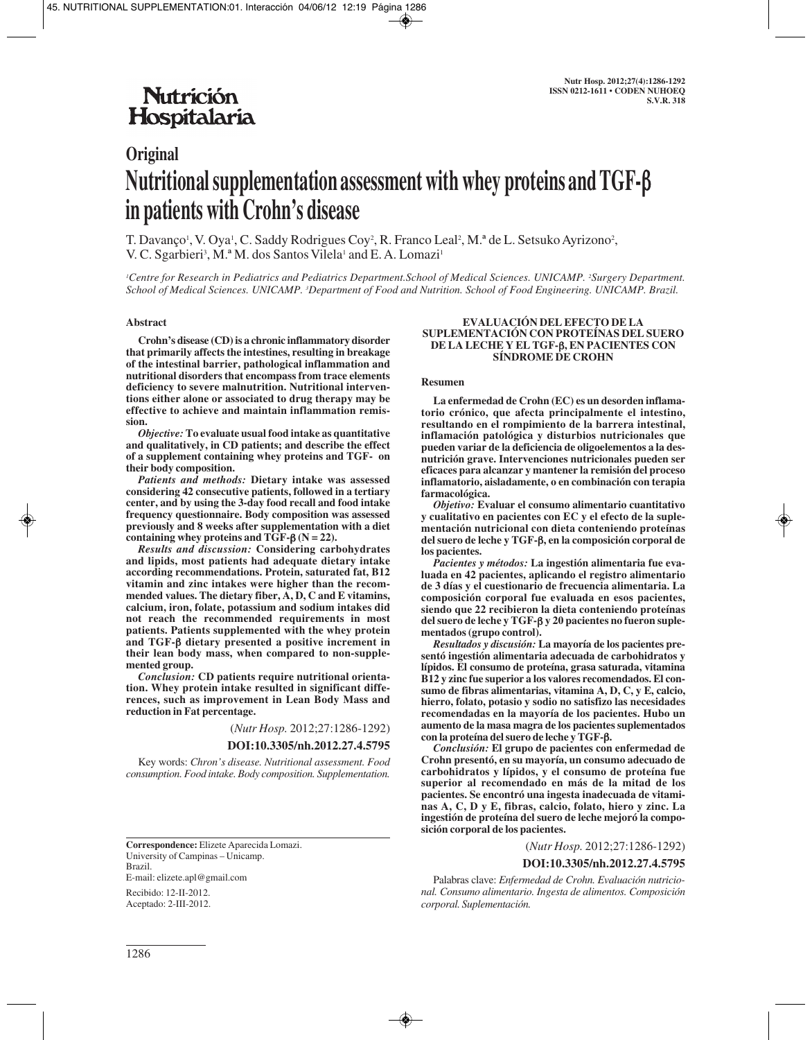## **Nutrición** Hospitalaria

# **Original Nutritional supplementation assessment with whey proteins and TGF-**β **in patients with Crohn's disease**

T. Davanço<sup>1</sup>, V. Oya<sup>1</sup>, C. Saddy Rodrigues Coy<sup>2</sup>, R. Franco Leal<sup>2</sup>, M.ª de L. Setsuko Ayrizono<sup>2</sup>, V. C. Sgarbieri<sup>3</sup>, M.ª M. dos Santos Vilela<sup>1</sup> and E. A. Lomazi<sup>1</sup>

*1 Centre for Research in Pediatrics and Pediatrics Department.School of Medical Sciences. UNICAMP. 2 Surgery Department. School of Medical Sciences. UNICAMP. 3 Department of Food and Nutrition. School of Food Engineering. UNICAMP. Brazil.*

#### **Abstract**

**Crohn's disease (CD) is a chronic inflammatory disorder that primarily affects the intestines, resulting in breakage of the intestinal barrier, pathological inflammation and nutritional disorders that encompass from trace elements deficiency to severe malnutrition. Nutritional interventions either alone or associated to drug therapy may be effective to achieve and maintain inflammation remission.**

*Objective:* **To evaluate usual food intake as quantitative and qualitatively, in CD patients; and describe the effect of a supplement containing whey proteins and TGF- on their body composition.**

*Patients and methods:* **Dietary intake was assessed considering 42 consecutive patients, followed in a tertiary center, and by using the 3-day food recall and food intake frequency questionnaire. Body composition was assessed previously and 8 weeks after supplementation with a diet containing whey proteins and TGF-**β **(N = 22).** 

*Results and discussion:* **Considering carbohydrates and lipids, most patients had adequate dietary intake according recommendations. Protein, saturated fat, B12 vitamin and zinc intakes were higher than the recommended values. The dietary fiber, A, D, C and E vitamins, calcium, iron, folate, potassium and sodium intakes did not reach the recommended requirements in most patients. Patients supplemented with the whey protein and TGF-**β **dietary presented a positive increment in their lean body mass, when compared to non-supplemented group.** 

*Conclusion:* **CD patients require nutritional orientation. Whey protein intake resulted in significant differences, such as improvement in Lean Body Mass and reduction in Fat percentage.**

(*Nutr Hosp.* 2012;27:1286-1292)

## **DOI:10.3305/nh.2012.27.4.5795**

Key words: *Chron's disease. Nutritional assessment. Food consumption. Food intake. Body composition. Supplementation.*

**Correspondence:** Elizete Aparecida Lomazi. University of Campinas – Unicamp. Brazil. E-mail: elizete.apl@gmail.com

Recibido: 12-II-2012. Aceptado: 2-III-2012.

#### **EVALUACIÓN DEL EFECTO DE LA SUPLEMENTACIÓN CON PROTEÍNAS DEL SUERO DE LA LECHE Y EL TGF-**β**, EN PACIENTES CON SÍNDROME DE CROHN**

#### **Resumen**

**La enfermedad de Crohn (EC) es un desorden inflamatorio crónico, que afecta principalmente el intestino, resultando en el rompimiento de la barrera intestinal, inflamación patológica y disturbios nutricionales que pueden variar de la deficiencia de oligoelementos a la desnutrición grave. Intervenciones nutricionales pueden ser eficaces para alcanzar y mantener la remisión del proceso inflamatorio, aisladamente, o en combinación con terapia farmacológica.** 

*Objetivo:* **Evaluar el consumo alimentario cuantitativo y cualitativo en pacientes con EC y el efecto de la suplementación nutricional con dieta conteniendo proteínas del suero de leche y TGF-**β**, en la composición corporal de los pacientes.** 

*Pacientes y métodos:* **La ingestión alimentaria fue evaluada en 42 pacientes, aplicando el registro alimentario de 3 días y el cuestionario de frecuencia alimentaria. La composición corporal fue evaluada en esos pacientes, siendo que 22 recibieron la dieta conteniendo proteínas del suero de leche y TGF-**β **y 20 pacientes no fueron suplementados (grupo control).** 

*Resultados y discusión:* **La mayoría de los pacientes presentó ingestión alimentaria adecuada de carbohidratos y lípidos. El consumo de proteína, grasa saturada, vitamina B12 y zinc fue superior a los valores recomendados. El consumo de fibras alimentarias, vitamina A, D, C, y E, calcio, hierro, folato, potasio y sodio no satisfizo las necesidades recomendadas en la mayoría de los pacientes. Hubo un aumento de la masa magra de los pacientes suplementados con la proteína del suero de leche y TGF-**β**.** 

*Conclusión:* **El grupo de pacientes con enfermedad de Crohn presentó, en su mayoría, un consumo adecuado de carbohidratos y lípidos, y el consumo de proteína fue superior al recomendado en más de la mitad de los pacientes. Se encontró una ingesta inadecuada de vitaminas A, C, D y E, fibras, calcio, folato, hiero y zinc. La ingestión de proteína del suero de leche mejoró la composición corporal de los pacientes.**

(*Nutr Hosp.* 2012;27:1286-1292)

#### **DOI:10.3305/nh.2012.27.4.5795**

Palabras clave: *Enfermedad de Crohn. Evaluación nutricional. Consumo alimentario. Ingesta de alimentos. Composición corporal. Suplementación.*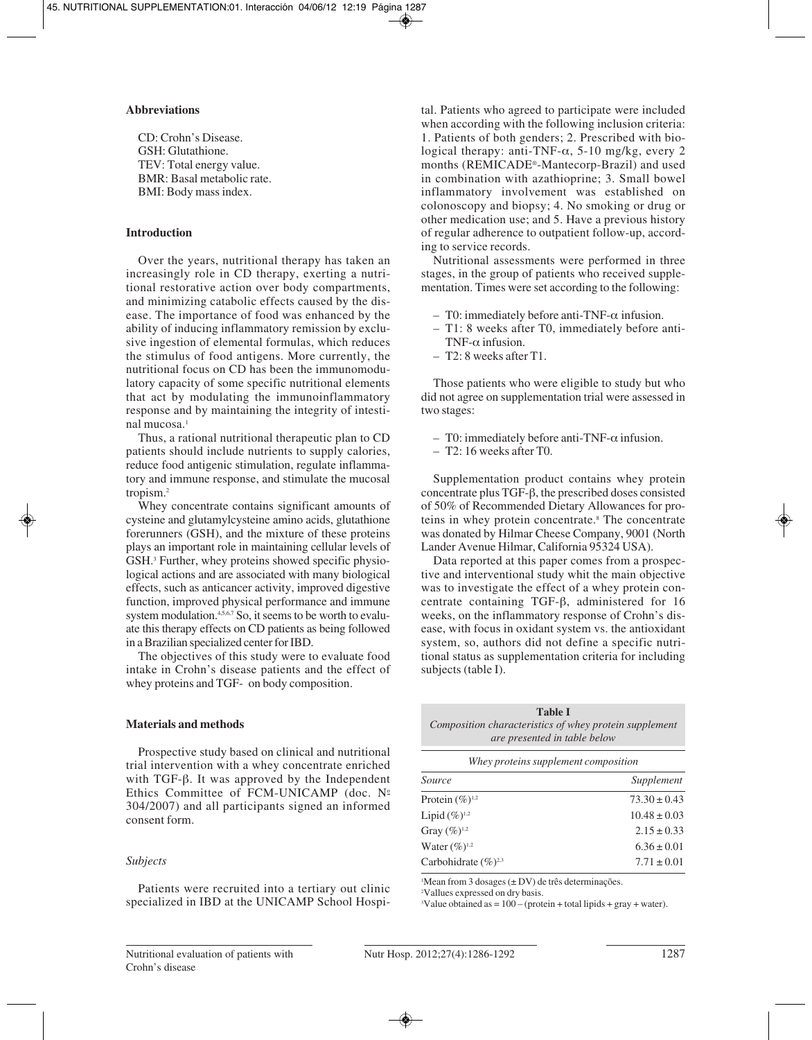## **Abbreviations**

CD: Crohn's Disease. GSH: Glutathione. TEV: Total energy value. BMR: Basal metabolic rate. BMI: Body mass index.

## **Introduction**

Over the years, nutritional therapy has taken an increasingly role in CD therapy, exerting a nutritional restorative action over body compartments, and minimizing catabolic effects caused by the disease. The importance of food was enhanced by the ability of inducing inflammatory remission by exclusive ingestion of elemental formulas, which reduces the stimulus of food antigens. More currently, the nutritional focus on CD has been the immunomodulatory capacity of some specific nutritional elements that act by modulating the immunoinflammatory response and by maintaining the integrity of intestinal mucosa.<sup>1</sup>

Thus, a rational nutritional therapeutic plan to CD patients should include nutrients to supply calories, reduce food antigenic stimulation, regulate inflammatory and immune response, and stimulate the mucosal tropism.2

Whey concentrate contains significant amounts of cysteine and glutamylcysteine amino acids, glutathione forerunners (GSH), and the mixture of these proteins plays an important role in maintaining cellular levels of GSH.3 Further, whey proteins showed specific physiological actions and are associated with many biological effects, such as anticancer activity, improved digestive function, improved physical performance and immune system modulation. $4,5,6,7$  So, it seems to be worth to evaluate this therapy effects on CD patients as being followed in a Brazilian specialized center for IBD.

The objectives of this study were to evaluate food intake in Crohn's disease patients and the effect of whey proteins and TGF- on body composition.

#### **Materials and methods**

Prospective study based on clinical and nutritional trial intervention with a whey concentrate enriched with TGF-β. It was approved by the Independent Ethics Committee of FCM-UNICAMP (doc.  $N<sup>0</sup>$ 304/2007) and all participants signed an informed consent form.

## *Subjects*

Patients were recruited into a tertiary out clinic specialized in IBD at the UNICAMP School Hospital. Patients who agreed to participate were included when according with the following inclusion criteria: 1. Patients of both genders; 2. Prescribed with biological therapy: anti-TNF- $\alpha$ , 5-10 mg/kg, every 2 months (REMICADE®-Mantecorp-Brazil) and used in combination with azathioprine; 3. Small bowel inflammatory involvement was established on colonoscopy and biopsy; 4. No smoking or drug or other medication use; and 5. Have a previous history of regular adherence to outpatient follow-up, according to service records.

Nutritional assessments were performed in three stages, in the group of patients who received supplementation. Times were set according to the following:

- T0: immediately before anti-TNF-α infusion.
- T1: 8 weeks after T0, immediately before anti-TNF- $\alpha$  infusion.
- T2: 8 weeks after T1.

Those patients who were eligible to study but who did not agree on supplementation trial were assessed in two stages:

- T0: immediately before anti-TNF-α infusion.
- T2: 16 weeks after T0.

Supplementation product contains whey protein concentrate plus TGF-β, the prescribed doses consisted of 50% of Recommended Dietary Allowances for proteins in whey protein concentrate.8 The concentrate was donated by Hilmar Cheese Company, 9001 (North Lander Avenue Hilmar, California 95324 USA).

Data reported at this paper comes from a prospective and interventional study whit the main objective was to investigate the effect of a whey protein concentrate containing TGF-β, administered for 16 weeks, on the inflammatory response of Crohn's disease, with focus in oxidant system vs. the antioxidant system, so, authors did not define a specific nutritional status as supplementation criteria for including subjects (table I).

| <b>Table I</b>                                         |  |  |  |  |
|--------------------------------------------------------|--|--|--|--|
| Composition characteristics of whey protein supplement |  |  |  |  |
| are presented in table below                           |  |  |  |  |

*Whey proteins supplement composition*

| Source                    | Supplement       |
|---------------------------|------------------|
| Protein $(\%)^{1,2}$      | $73.30 \pm 0.43$ |
| Lipid $(\%)^{1,2}$        | $10.48 \pm 0.03$ |
| Gray $(\%)^{1,2}$         | $2.15 \pm 0.33$  |
| Water $(\%)^{1,2}$        | $6.36 \pm 0.01$  |
| Carbohidrate $(\%)^{2,3}$ | $7.71 \pm 0.01$  |
|                           |                  |

1 Mean from 3 dosages (± DV) de três determinações.

2 Vallues expressed on dry basis.

<sup>3</sup>Value obtained as  $= 100 - ($ protein + total lipids + gray + water).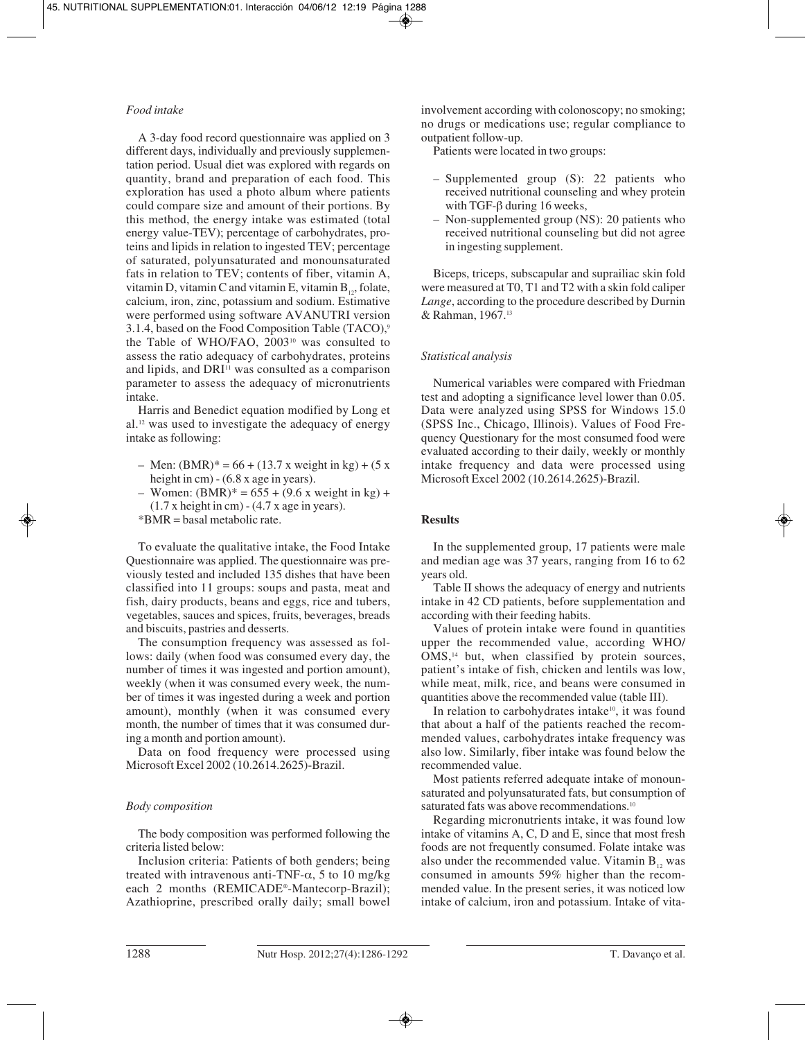## *Food intake*

A 3-day food record questionnaire was applied on 3 different days, individually and previously supplementation period. Usual diet was explored with regards on quantity, brand and preparation of each food. This exploration has used a photo album where patients could compare size and amount of their portions. By this method, the energy intake was estimated (total energy value-TEV); percentage of carbohydrates, proteins and lipids in relation to ingested TEV; percentage of saturated, polyunsaturated and monounsaturated fats in relation to TEV; contents of fiber, vitamin A, vitamin D, vitamin C and vitamin E, vitamin  $B_{12}$ , folate, calcium, iron, zinc, potassium and sodium. Estimative were performed using software AVANUTRI version 3.1.4, based on the Food Composition Table (TACO),9 the Table of WHO/FAO, 200310 was consulted to assess the ratio adequacy of carbohydrates, proteins and lipids, and  $DRI<sup>11</sup>$  was consulted as a comparison parameter to assess the adequacy of micronutrients intake.

Harris and Benedict equation modified by Long et al.12 was used to investigate the adequacy of energy intake as following:

- Men:  $(BMR)^* = 66 + (13.7 \text{ x weight in kg}) + (5 \text{ x})$ height in cm) - (6.8 x age in years).
- Women:  $(BMR)^* = 655 + (9.6 \text{ x weight in kg}) +$  $(1.7 \times \text{height in cm}) - (4.7 \times \text{age in years}).$
- \*BMR = basal metabolic rate.

To evaluate the qualitative intake, the Food Intake Questionnaire was applied. The questionnaire was previously tested and included 135 dishes that have been classified into 11 groups: soups and pasta, meat and fish, dairy products, beans and eggs, rice and tubers, vegetables, sauces and spices, fruits, beverages, breads and biscuits, pastries and desserts.

The consumption frequency was assessed as follows: daily (when food was consumed every day, the number of times it was ingested and portion amount), weekly (when it was consumed every week, the number of times it was ingested during a week and portion amount), monthly (when it was consumed every month, the number of times that it was consumed during a month and portion amount).

Data on food frequency were processed using Microsoft Excel 2002 (10.2614.2625)-Brazil.

## *Body composition*

The body composition was performed following the criteria listed below:

Inclusion criteria: Patients of both genders; being treated with intravenous anti-TNF- $\alpha$ , 5 to 10 mg/kg each 2 months (REMICADE®-Mantecorp-Brazil); Azathioprine, prescribed orally daily; small bowel

involvement according with colonoscopy; no smoking; no drugs or medications use; regular compliance to outpatient follow-up.

Patients were located in two groups:

- Supplemented group (S): 22 patients who received nutritional counseling and whey protein with TGF-β during 16 weeks,
- Non-supplemented group (NS): 20 patients who received nutritional counseling but did not agree in ingesting supplement.

Biceps, triceps, subscapular and suprailiac skin fold were measured at T0, T1 and T2 with a skin fold caliper *Lange*, according to the procedure described by Durnin & Rahman, 1967.13

## *Statistical analysis*

Numerical variables were compared with Friedman test and adopting a significance level lower than 0.05. Data were analyzed using SPSS for Windows 15.0 (SPSS Inc., Chicago, Illinois). Values of Food Frequency Questionary for the most consumed food were evaluated according to their daily, weekly or monthly intake frequency and data were processed using Microsoft Excel 2002 (10.2614.2625)-Brazil.

## **Results**

In the supplemented group, 17 patients were male and median age was 37 years, ranging from 16 to 62 years old.

Table II shows the adequacy of energy and nutrients intake in 42 CD patients, before supplementation and according with their feeding habits.

Values of protein intake were found in quantities upper the recommended value, according WHO/ OMS,<sup>14</sup> but, when classified by protein sources, patient's intake of fish, chicken and lentils was low, while meat, milk, rice, and beans were consumed in quantities above the recommended value (table III).

In relation to carbohydrates intake<sup>10</sup>, it was found that about a half of the patients reached the recommended values, carbohydrates intake frequency was also low. Similarly, fiber intake was found below the recommended value.

Most patients referred adequate intake of monounsaturated and polyunsaturated fats, but consumption of saturated fats was above recommendations.<sup>10</sup>

Regarding micronutrients intake, it was found low intake of vitamins A, C, D and E, since that most fresh foods are not frequently consumed. Folate intake was also under the recommended value. Vitamin  $B_{12}$  was consumed in amounts 59% higher than the recommended value. In the present series, it was noticed low intake of calcium, iron and potassium. Intake of vita-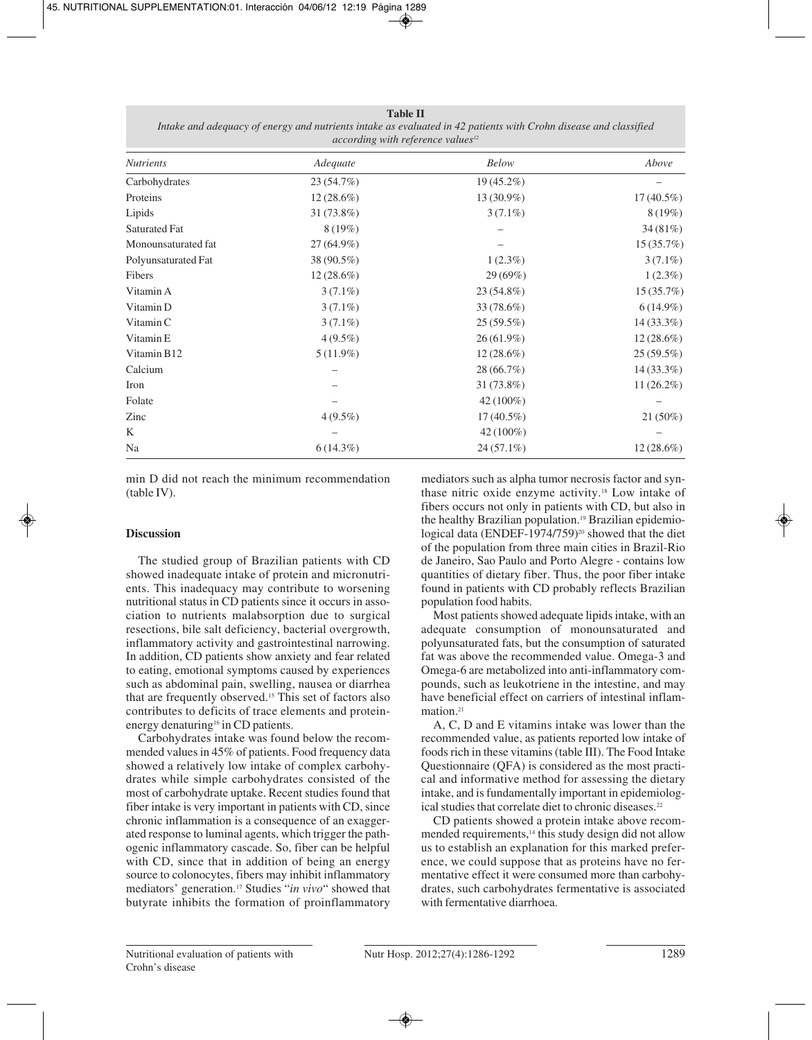## **Table II**

*Intake and adequacy of energy and nutrients intake as evaluated in 42 patients with Crohn disease and classified according with reference values12*

| <b>Nutrients</b>     | Adequate     | <b>Below</b> | Above        |  |
|----------------------|--------------|--------------|--------------|--|
| Carbohydrates        | 23(54.7%)    | $19(45.2\%)$ |              |  |
| Proteins             | $12(28.6\%)$ | 13 (30.9%)   | $17(40.5\%)$ |  |
| Lipids               | $31(73.8\%)$ | $3(7.1\%)$   | 8(19%)       |  |
| <b>Saturated Fat</b> | $8(19\%)$    |              | 34(81%)      |  |
| Monounsaturated fat  | $27(64.9\%)$ |              | 15(35.7%)    |  |
| Polyunsaturated Fat  | 38 (90.5%)   | $1(2.3\%)$   | $3(7.1\%)$   |  |
| Fibers               | $12(28.6\%)$ | 29(69%)      | $1(2.3\%)$   |  |
| Vitamin A            | $3(7.1\%)$   | $23(54.8\%)$ | 15(35.7%)    |  |
| Vitamin D            | $3(7.1\%)$   | 33 (78.6%)   | $6(14.9\%)$  |  |
| Vitamin C            | $3(7.1\%)$   | 25(59.5%)    | $14(33.3\%)$ |  |
| Vitamin E            | $4(9.5\%)$   | $26(61.9\%)$ | $12(28.6\%)$ |  |
| Vitamin B12          | $5(11.9\%)$  | $12(28.6\%)$ | 25(59.5%)    |  |
| Calcium              |              | 28(66.7%)    | $14(33.3\%)$ |  |
| Iron                 |              | $31(73.8\%)$ | $11(26.2\%)$ |  |
| Folate               |              | $42(100\%)$  |              |  |
| Zinc                 | $4(9.5\%)$   | $17(40.5\%)$ | $21(50\%)$   |  |
| K                    |              | $42(100\%)$  |              |  |
| Na                   | $6(14.3\%)$  | $24(57.1\%)$ | $12(28.6\%)$ |  |

min D did not reach the minimum recommendation (table IV).

## **Discussion**

The studied group of Brazilian patients with CD showed inadequate intake of protein and micronutrients. This inadequacy may contribute to worsening nutritional status in CD patients since it occurs in association to nutrients malabsorption due to surgical resections, bile salt deficiency, bacterial overgrowth, inflammatory activity and gastrointestinal narrowing. In addition, CD patients show anxiety and fear related to eating, emotional symptoms caused by experiences such as abdominal pain, swelling, nausea or diarrhea that are frequently observed.15 This set of factors also contributes to deficits of trace elements and proteinenergy denaturing<sup>16</sup> in CD patients.

Carbohydrates intake was found below the recommended values in 45% of patients. Food frequency data showed a relatively low intake of complex carbohydrates while simple carbohydrates consisted of the most of carbohydrate uptake. Recent studies found that fiber intake is very important in patients with CD, since chronic inflammation is a consequence of an exaggerated response to luminal agents, which trigger the pathogenic inflammatory cascade. So, fiber can be helpful with CD, since that in addition of being an energy source to colonocytes, fibers may inhibit inflammatory mediators' generation.17 Studies "*in vivo*" showed that butyrate inhibits the formation of proinflammatory mediators such as alpha tumor necrosis factor and synthase nitric oxide enzyme activity.18 Low intake of fibers occurs not only in patients with CD, but also in the healthy Brazilian population.<sup>19</sup> Brazilian epidemiological data (ENDEF-1974/759)<sup>20</sup> showed that the diet of the population from three main cities in Brazil-Rio de Janeiro, Sao Paulo and Porto Alegre - contains low quantities of dietary fiber. Thus, the poor fiber intake found in patients with CD probably reflects Brazilian population food habits.

Most patients showed adequate lipids intake, with an adequate consumption of monounsaturated and polyunsaturated fats, but the consumption of saturated fat was above the recommended value. Omega-3 and Omega-6 are metabolized into anti-inflammatory compounds, such as leukotriene in the intestine, and may have beneficial effect on carriers of intestinal inflammation<sup>21</sup>

A, C, D and E vitamins intake was lower than the recommended value, as patients reported low intake of foods rich in these vitamins (table III). The Food Intake Questionnaire (QFA) is considered as the most practical and informative method for assessing the dietary intake, and is fundamentally important in epidemiological studies that correlate diet to chronic diseases.<sup>22</sup>

CD patients showed a protein intake above recommended requirements,<sup>14</sup> this study design did not allow us to establish an explanation for this marked preference, we could suppose that as proteins have no fermentative effect it were consumed more than carbohydrates, such carbohydrates fermentative is associated with fermentative diarrhoea.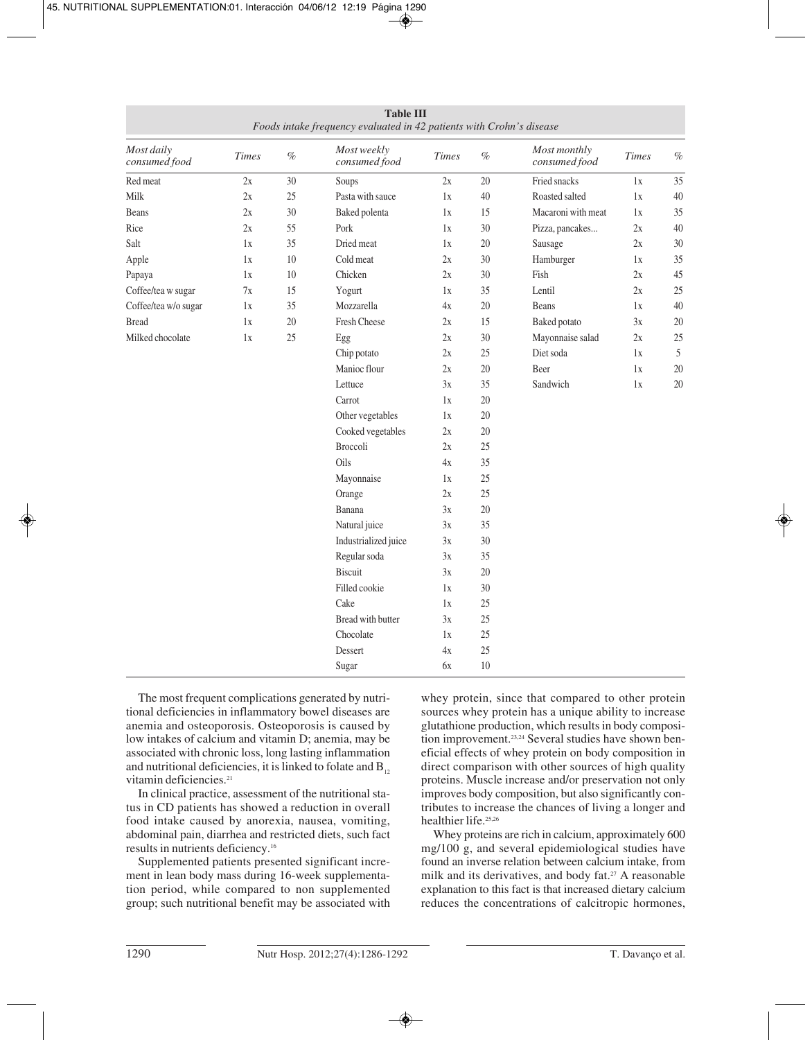| <b>Table III</b><br>Foods intake frequency evaluated in 42 patients with Crohn's disease |              |      |                              |              |      |                               |              |      |
|------------------------------------------------------------------------------------------|--------------|------|------------------------------|--------------|------|-------------------------------|--------------|------|
| Most daily<br>consumed food                                                              | <b>Times</b> | $\%$ | Most weekly<br>consumed food | <b>Times</b> | $\%$ | Most monthly<br>consumed food | <b>Times</b> | $\%$ |
| Red meat                                                                                 | 2x           | 30   | Soups                        | 2x           | 20   | Fried snacks                  | 1x           | 35   |
| Milk                                                                                     | 2x           | 25   | Pasta with sauce             | 1x           | 40   | Roasted salted                | 1x           | 40   |
| Beans                                                                                    | 2x           | 30   | Baked polenta                | 1x           | 15   | Macaroni with meat            | 1x           | 35   |
| Rice                                                                                     | 2x           | 55   | Pork                         | 1x           | 30   | Pizza, pancakes               | 2x           | 40   |
| Salt                                                                                     | 1x           | 35   | Dried meat                   | 1x           | 20   | Sausage                       | 2x           | 30   |
| Apple                                                                                    | 1x           | 10   | Cold meat                    | 2x           | 30   | Hamburger                     | 1x           | 35   |
| Papaya                                                                                   | 1x           | 10   | Chicken                      | 2x           | 30   | Fish                          | 2x           | 45   |
| Coffee/tea w sugar                                                                       | 7x           | 15   | Yogurt                       | 1x           | 35   | Lentil                        | 2x           | 25   |
| Coffee/tea w/o sugar                                                                     | 1x           | 35   | Mozzarella                   | 4x           | 20   | Beans                         | 1x           | 40   |
| <b>Bread</b>                                                                             | 1x           | 20   | Fresh Cheese                 | 2x           | 15   | Baked potato                  | 3x           | 20   |
| Milked chocolate                                                                         | 1x           | 25   | Egg                          | 2x           | 30   | Mayonnaise salad              | 2x           | 25   |
|                                                                                          |              |      | Chip potato                  | 2x           | 25   | Diet soda                     | 1x           | 5    |
|                                                                                          |              |      | Manioc flour                 | 2x           | 20   | Beer                          | 1x           | 20   |
|                                                                                          |              |      | Lettuce                      | 3x           | 35   | Sandwich                      | 1x           | 20   |
|                                                                                          |              |      | Carrot                       | 1x           | 20   |                               |              |      |
|                                                                                          |              |      | Other vegetables             | 1x           | 20   |                               |              |      |
|                                                                                          |              |      | Cooked vegetables            | 2x           | 20   |                               |              |      |
|                                                                                          |              |      | Broccoli                     | 2x           | 25   |                               |              |      |
|                                                                                          |              |      | Oils                         | 4x           | 35   |                               |              |      |
|                                                                                          |              |      | Mayonnaise                   | 1x           | 25   |                               |              |      |
|                                                                                          |              |      | Orange                       | 2x           | 25   |                               |              |      |
|                                                                                          |              |      | Banana                       | 3x           | 20   |                               |              |      |
|                                                                                          |              |      | Natural juice                | 3x           | 35   |                               |              |      |
|                                                                                          |              |      | Industrialized juice         | 3x           | 30   |                               |              |      |
|                                                                                          |              |      | Regular soda                 | 3x           | 35   |                               |              |      |
|                                                                                          |              |      | Biscuit                      | 3x           | 20   |                               |              |      |
|                                                                                          |              |      | Filled cookie                | 1x           | 30   |                               |              |      |
|                                                                                          |              |      | Cake                         | 1x           | 25   |                               |              |      |
|                                                                                          |              |      | Bread with butter            | 3x           | 25   |                               |              |      |
|                                                                                          |              |      | Chocolate                    | 1x           | 25   |                               |              |      |
|                                                                                          |              |      | Dessert                      | 4x           | 25   |                               |              |      |
|                                                                                          |              |      | Sugar                        | 6x           | 10   |                               |              |      |

The most frequent complications generated by nutritional deficiencies in inflammatory bowel diseases are anemia and osteoporosis. Osteoporosis is caused by low intakes of calcium and vitamin D; anemia, may be associated with chronic loss, long lasting inflammation and nutritional deficiencies, it is linked to folate and  $B_{12}$ vitamin deficiencies.<sup>21</sup>

In clinical practice, assessment of the nutritional status in CD patients has showed a reduction in overall food intake caused by anorexia, nausea, vomiting, abdominal pain, diarrhea and restricted diets, such fact results in nutrients deficiency.16

Supplemented patients presented significant increment in lean body mass during 16-week supplementation period, while compared to non supplemented group; such nutritional benefit may be associated with whey protein, since that compared to other protein sources whey protein has a unique ability to increase glutathione production, which results in body composition improvement.<sup>23,24</sup> Several studies have shown beneficial effects of whey protein on body composition in direct comparison with other sources of high quality proteins. Muscle increase and/or preservation not only improves body composition, but also significantly contributes to increase the chances of living a longer and healthier life.25,26

Whey proteins are rich in calcium, approximately 600 mg/100 g, and several epidemiological studies have found an inverse relation between calcium intake, from milk and its derivatives, and body fat.<sup>27</sup> A reasonable explanation to this fact is that increased dietary calcium reduces the concentrations of calcitropic hormones,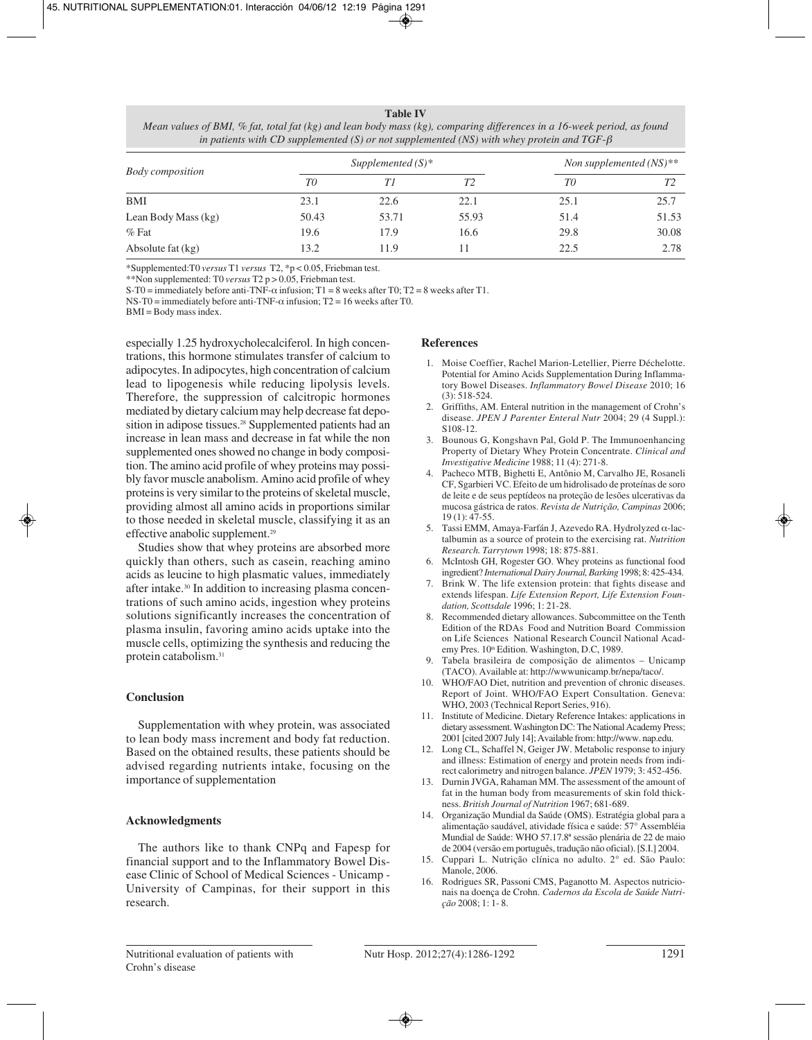#### **Table IV**

*Mean values of BMI, % fat, total fat (kg) and lean body mass (kg), comparing differences in a 16-week period, as found in patients with CD supplemented (S) or not supplemented (NS) with whey protein and TGF-*β

| <b>Body</b> composition |       | Supplemented $(S)^*$ | Non supplemented $(NS)**$ |      |       |
|-------------------------|-------|----------------------|---------------------------|------|-------|
|                         | T0    | TΙ                   | T2                        | T0   | T2    |
| BMI                     | 23.1  | 22.6                 | 22.1                      | 25.1 | 25.7  |
| Lean Body Mass (kg)     | 50.43 | 53.71                | 55.93                     | 51.4 | 51.53 |
| $%$ Fat                 | 19.6  | 17.9                 | 16.6                      | 29.8 | 30.08 |
| Absolute fat (kg)       | 13.2  | 11.9                 | 11                        | 22.5 | 2.78  |

\*Supplemented:T0 *versus* T1 *versus* T2, \*p < 0.05, Friebman test.

\*\*Non supplemented: T0 *versus* T2 p > 0.05, Friebman test.

S-T0 = immediately before anti-TNF- $\alpha$  infusion; T1 = 8 weeks after T0; T2 = 8 weeks after T1.

NS-T0 = immediately before anti-TNF- $\alpha$  infusion; T2 = 16 weeks after T0.

BMI = Body mass index.

especially 1.25 hydroxycholecalciferol. In high concentrations, this hormone stimulates transfer of calcium to adipocytes. In adipocytes, high concentration of calcium lead to lipogenesis while reducing lipolysis levels. Therefore, the suppression of calcitropic hormones mediated by dietary calcium may help decrease fat deposition in adipose tissues.<sup>28</sup> Supplemented patients had an increase in lean mass and decrease in fat while the non supplemented ones showed no change in body composition. The amino acid profile of whey proteins may possibly favor muscle anabolism. Amino acid profile of whey proteins is very similar to the proteins of skeletal muscle, providing almost all amino acids in proportions similar to those needed in skeletal muscle, classifying it as an effective anabolic supplement.<sup>29</sup>

Studies show that whey proteins are absorbed more quickly than others, such as casein, reaching amino acids as leucine to high plasmatic values, immediately after intake.<sup>30</sup> In addition to increasing plasma concentrations of such amino acids, ingestion whey proteins solutions significantly increases the concentration of plasma insulin, favoring amino acids uptake into the muscle cells, optimizing the synthesis and reducing the protein catabolism.31

## **Conclusion**

Supplementation with whey protein, was associated to lean body mass increment and body fat reduction. Based on the obtained results, these patients should be advised regarding nutrients intake, focusing on the importance of supplementation

## **Acknowledgments**

The authors like to thank CNPq and Fapesp for financial support and to the Inflammatory Bowel Disease Clinic of School of Medical Sciences - Unicamp - University of Campinas, for their support in this research.

## **References**

- 1. Moise Coeffier, Rachel Marion-Letellier, Pierre Déchelotte. Potential for Amino Acids Supplementation During Inflammatory Bowel Diseases. *Inflammatory Bowel Disease* 2010; 16  $(3)$ : 518-524.
- 2. Griffiths, AM. Enteral nutrition in the management of Crohn's disease. *JPEN J Parenter Enteral Nutr* 2004; 29 (4 Suppl.): S108-12.
- 3. Bounous G, Kongshavn Pal, Gold P. The Immunoenhancing Property of Dietary Whey Protein Concentrate. *Clinical and Investigative Medicine* 1988; 11 (4): 271-8.
- 4. Pacheco MTB, Bighetti E, Antônio M, Carvalho JE, Rosaneli CF, Sgarbieri VC. Efeito de um hidrolisado de proteínas de soro de leite e de seus peptídeos na proteção de lesões ulcerativas da mucosa gástrica de ratos. *Revista de Nutrição, Campinas* 2006; 19 (1): 47-55.
- 5. Tassi EMM, Amaya-Farfán J, Azevedo RA. Hydrolyzed α-lactalbumin as a source of protein to the exercising rat. *Nutrition Research. Tarrytown* 1998; 18: 875-881.
- 6. McIntosh GH, Rogester GO. Whey proteins as functional food ingredient? *International Dairy Journal, Barking* 1998; 8: 425-434.
- 7. Brink W. The life extension protein: that fights disease and extends lifespan. *Life Extension Report, Life Extension Foundation, Scottsdale* 1996; 1: 21-28.
- 8. Recommended dietary allowances. Subcommittee on the Tenth Edition of the RDAs Food and Nutrition Board Commission on Life Sciences National Research Council National Academy Pres. 10<sup>th</sup> Edition. Washington, D.C, 1989.
- 9. Tabela brasileira de composição de alimentos Unicamp (TACO). Available at: http://wwwunicamp.br/nepa/taco/.
- 10. WHO/FAO Diet, nutrition and prevention of chronic diseases. Report of Joint. WHO/FAO Expert Consultation. Geneva: WHO, 2003 (Technical Report Series, 916).
- 11. Institute of Medicine. Dietary Reference Intakes: applications in dietary assessment. Washington DC: The National Academy Press; 2001 [cited 2007 July 14]; Available from: http://www. nap.edu.
- 12. Long CL, Schaffel N, Geiger JW. Metabolic response to injury and illness: Estimation of energy and protein needs from indirect calorimetry and nitrogen balance. *JPEN* 1979; 3: 452-456.
- 13. Durnin JVGA, Rahaman MM. The assessment of the amount of fat in the human body from measurements of skin fold thickness. *British Journal of Nutrition* 1967; 681-689.
- 14. Organização Mundial da Saúde (OMS). Estratégia global para a alimentação saudável, atividade física e saúde: 57° Assembléia Mundial de Saúde: WHO 57.17.8ª sessão plenária de 22 de maio de 2004 (versão em português, tradução não oficial). [S.I.] 2004.
- 15. Cuppari L. Nutrição clínica no adulto. 2° ed. São Paulo: Manole, 2006.
- 16. Rodrigues SR, Passoni CMS, Paganotto M. Aspectos nutricionais na doença de Crohn. *Cadernos da Escola de Saúde Nutrição* 2008; 1: 1- 8.